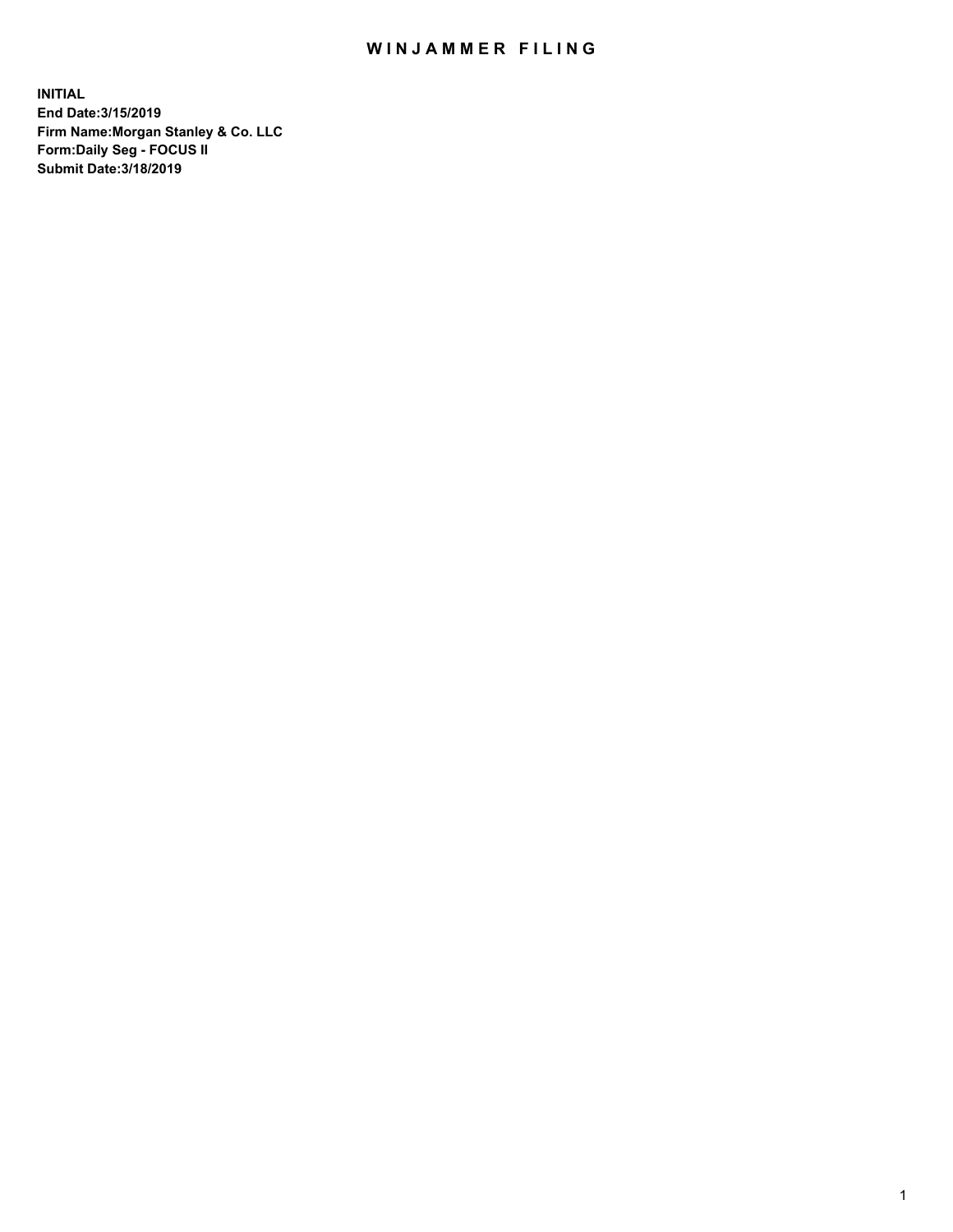## WIN JAMMER FILING

**INITIAL End Date:3/15/2019 Firm Name:Morgan Stanley & Co. LLC Form:Daily Seg - FOCUS II Submit Date:3/18/2019**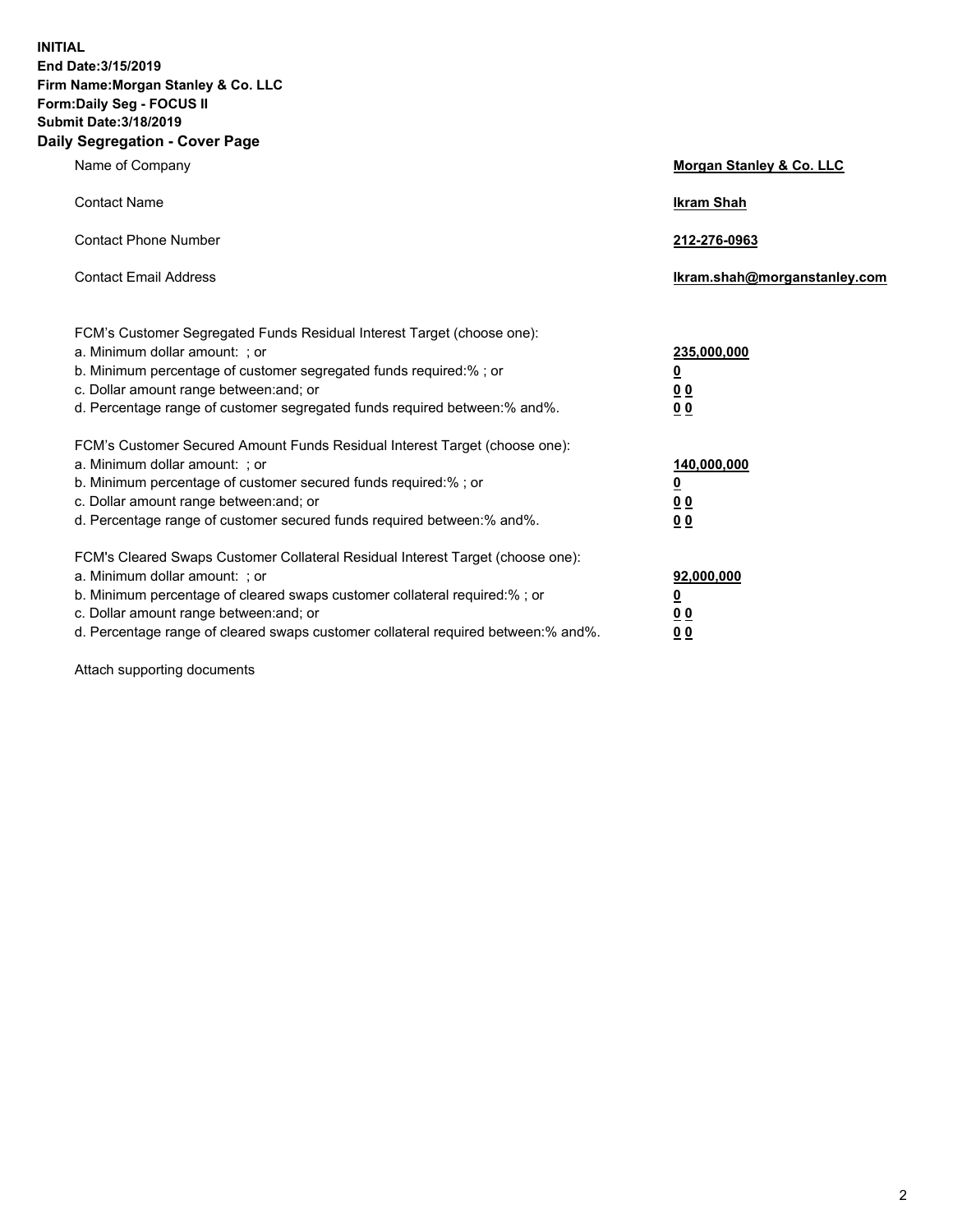**INITIAL End Date:3/15/2019 Firm Name:Morgan Stanley & Co. LLC Form:Daily Seg - FOCUS II Submit Date:3/18/2019 Daily Segregation - Cover Page**

| Name of Company                                                                                                                                                                                                                                                                                                                | Morgan Stanley & Co. LLC                               |
|--------------------------------------------------------------------------------------------------------------------------------------------------------------------------------------------------------------------------------------------------------------------------------------------------------------------------------|--------------------------------------------------------|
| <b>Contact Name</b>                                                                                                                                                                                                                                                                                                            | <b>Ikram Shah</b>                                      |
| <b>Contact Phone Number</b>                                                                                                                                                                                                                                                                                                    | 212-276-0963                                           |
| <b>Contact Email Address</b>                                                                                                                                                                                                                                                                                                   | Ikram.shah@morganstanley.com                           |
| FCM's Customer Segregated Funds Residual Interest Target (choose one):<br>a. Minimum dollar amount: ; or<br>b. Minimum percentage of customer segregated funds required:% ; or<br>c. Dollar amount range between: and; or<br>d. Percentage range of customer segregated funds required between:% and%.                         | 235,000,000<br><u>0</u><br><u>0 0</u><br>0 Q           |
| FCM's Customer Secured Amount Funds Residual Interest Target (choose one):<br>a. Minimum dollar amount: ; or<br>b. Minimum percentage of customer secured funds required:%; or<br>c. Dollar amount range between: and; or<br>d. Percentage range of customer secured funds required between:% and%.                            | 140,000,000<br><u>0</u><br><u>00</u><br>0 <sub>0</sub> |
| FCM's Cleared Swaps Customer Collateral Residual Interest Target (choose one):<br>a. Minimum dollar amount: ; or<br>b. Minimum percentage of cleared swaps customer collateral required:% ; or<br>c. Dollar amount range between: and; or<br>d. Percentage range of cleared swaps customer collateral required between:% and%. | 92,000,000<br><u>0</u><br><u>00</u><br>0 <sub>0</sub>  |

Attach supporting documents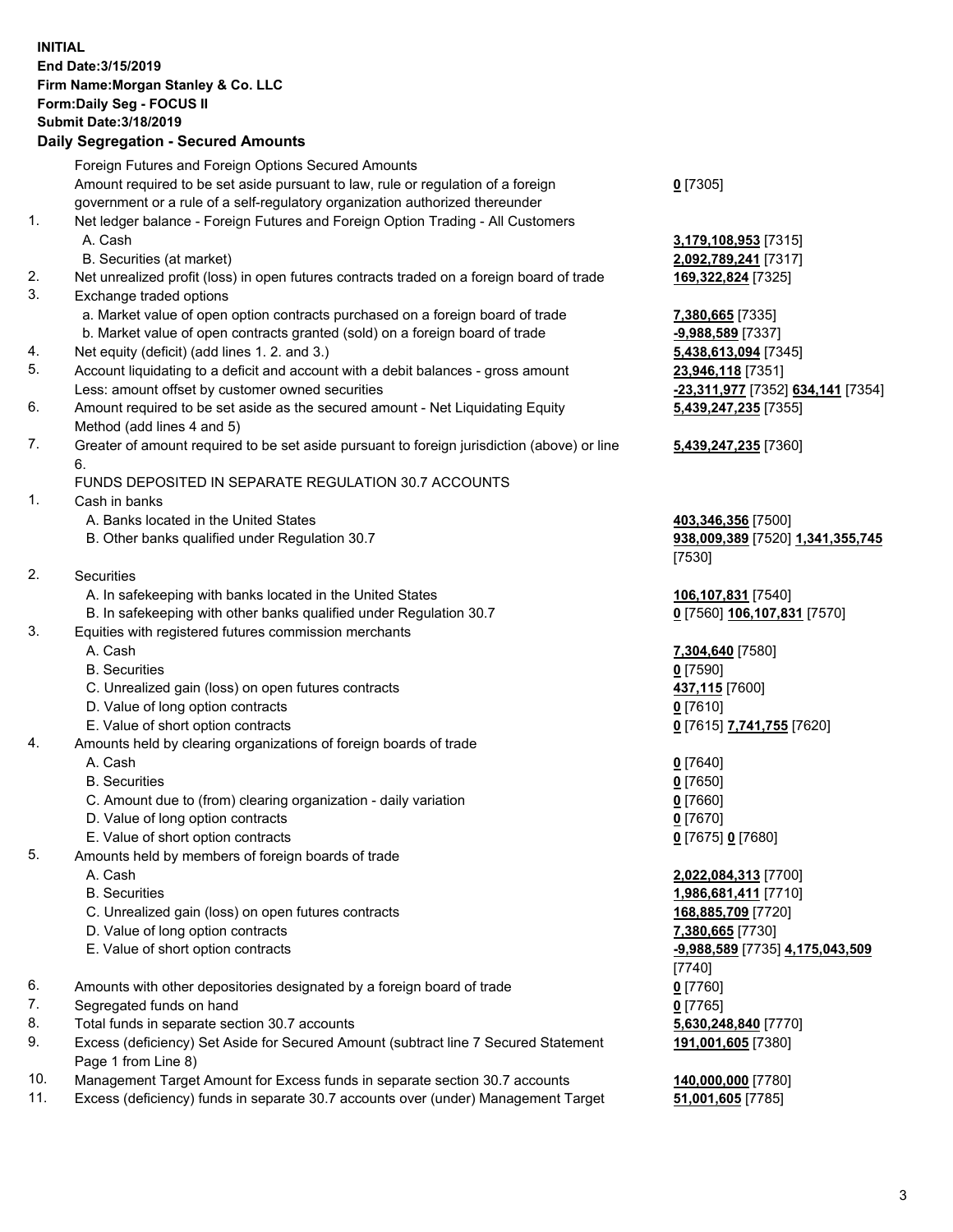## **INITIAL End Date:3/15/2019 Firm Name:Morgan Stanley & Co. LLC Form:Daily Seg - FOCUS II Submit Date:3/18/2019**

## **Daily Segregation - Secured Amounts**

|     | Foreign Futures and Foreign Options Secured Amounts                                                                                                             |                                                     |
|-----|-----------------------------------------------------------------------------------------------------------------------------------------------------------------|-----------------------------------------------------|
|     | Amount required to be set aside pursuant to law, rule or regulation of a foreign                                                                                | $0$ [7305]                                          |
| 1.  | government or a rule of a self-regulatory organization authorized thereunder<br>Net ledger balance - Foreign Futures and Foreign Option Trading - All Customers |                                                     |
|     | A. Cash                                                                                                                                                         |                                                     |
|     | B. Securities (at market)                                                                                                                                       | 3,179,108,953 [7315]<br>2,092,789,241 [7317]        |
| 2.  | Net unrealized profit (loss) in open futures contracts traded on a foreign board of trade                                                                       | 169,322,824 [7325]                                  |
| 3.  | Exchange traded options                                                                                                                                         |                                                     |
|     | a. Market value of open option contracts purchased on a foreign board of trade                                                                                  | 7,380,665 [7335]                                    |
|     | b. Market value of open contracts granted (sold) on a foreign board of trade                                                                                    | -9,988,589 [7337]                                   |
| 4.  | Net equity (deficit) (add lines 1.2. and 3.)                                                                                                                    | 5,438,613,094 [7345]                                |
| 5.  | Account liquidating to a deficit and account with a debit balances - gross amount                                                                               | 23,946,118 [7351]                                   |
|     | Less: amount offset by customer owned securities                                                                                                                | -23,311,977 [7352] 634,141 [7354]                   |
| 6.  | Amount required to be set aside as the secured amount - Net Liquidating Equity                                                                                  | 5,439,247,235 [7355]                                |
|     | Method (add lines 4 and 5)                                                                                                                                      |                                                     |
| 7.  | Greater of amount required to be set aside pursuant to foreign jurisdiction (above) or line                                                                     | 5,439,247,235 [7360]                                |
|     | 6.                                                                                                                                                              |                                                     |
|     | FUNDS DEPOSITED IN SEPARATE REGULATION 30.7 ACCOUNTS                                                                                                            |                                                     |
| 1.  | Cash in banks                                                                                                                                                   |                                                     |
|     | A. Banks located in the United States                                                                                                                           | 403,346,356 [7500]                                  |
|     | B. Other banks qualified under Regulation 30.7                                                                                                                  | 938,009,389 [7520] 1,341,355,745                    |
|     |                                                                                                                                                                 | [7530]                                              |
| 2.  | Securities                                                                                                                                                      |                                                     |
|     | A. In safekeeping with banks located in the United States                                                                                                       | 106,107,831 [7540]                                  |
|     | B. In safekeeping with other banks qualified under Regulation 30.7                                                                                              | 0 [7560] 106,107,831 [7570]                         |
| 3.  | Equities with registered futures commission merchants                                                                                                           |                                                     |
|     | A. Cash                                                                                                                                                         | 7,304,640 [7580]                                    |
|     | <b>B.</b> Securities                                                                                                                                            | $0$ [7590]                                          |
|     | C. Unrealized gain (loss) on open futures contracts                                                                                                             | 437,115 [7600]                                      |
|     | D. Value of long option contracts                                                                                                                               | $0$ [7610]                                          |
|     | E. Value of short option contracts                                                                                                                              | <u>0</u> [7615] 7,741,755 [7620]                    |
| 4.  | Amounts held by clearing organizations of foreign boards of trade                                                                                               |                                                     |
|     | A. Cash                                                                                                                                                         | $0$ [7640]                                          |
|     | <b>B.</b> Securities                                                                                                                                            | $0$ [7650]                                          |
|     | C. Amount due to (from) clearing organization - daily variation                                                                                                 | $0$ [7660]                                          |
|     | D. Value of long option contracts                                                                                                                               | $0$ [7670]                                          |
|     | E. Value of short option contracts                                                                                                                              | 0 [7675] 0 [7680]                                   |
| 5.  | Amounts held by members of foreign boards of trade                                                                                                              |                                                     |
|     | A. Cash                                                                                                                                                         | 2,022,084,313 [7700]                                |
|     | <b>B.</b> Securities                                                                                                                                            | 1,986,681,411 [7710]<br>168,885,709 [7720]          |
|     | C. Unrealized gain (loss) on open futures contracts<br>D. Value of long option contracts                                                                        |                                                     |
|     | E. Value of short option contracts                                                                                                                              | 7,380,665 [7730]<br>-9,988,589 [7735] 4,175,043,509 |
|     |                                                                                                                                                                 | [7740]                                              |
| 6.  | Amounts with other depositories designated by a foreign board of trade                                                                                          | $0$ [7760]                                          |
| 7.  | Segregated funds on hand                                                                                                                                        | $0$ [7765]                                          |
| 8.  | Total funds in separate section 30.7 accounts                                                                                                                   | 5,630,248,840 [7770]                                |
| 9.  | Excess (deficiency) Set Aside for Secured Amount (subtract line 7 Secured Statement                                                                             | 191,001,605 [7380]                                  |
|     | Page 1 from Line 8)                                                                                                                                             |                                                     |
| 10. | Management Target Amount for Excess funds in separate section 30.7 accounts                                                                                     | 140,000,000 [7780]                                  |
|     |                                                                                                                                                                 |                                                     |

11. Excess (deficiency) funds in separate 30.7 accounts over (under) Management Target **51,001,605** [7785]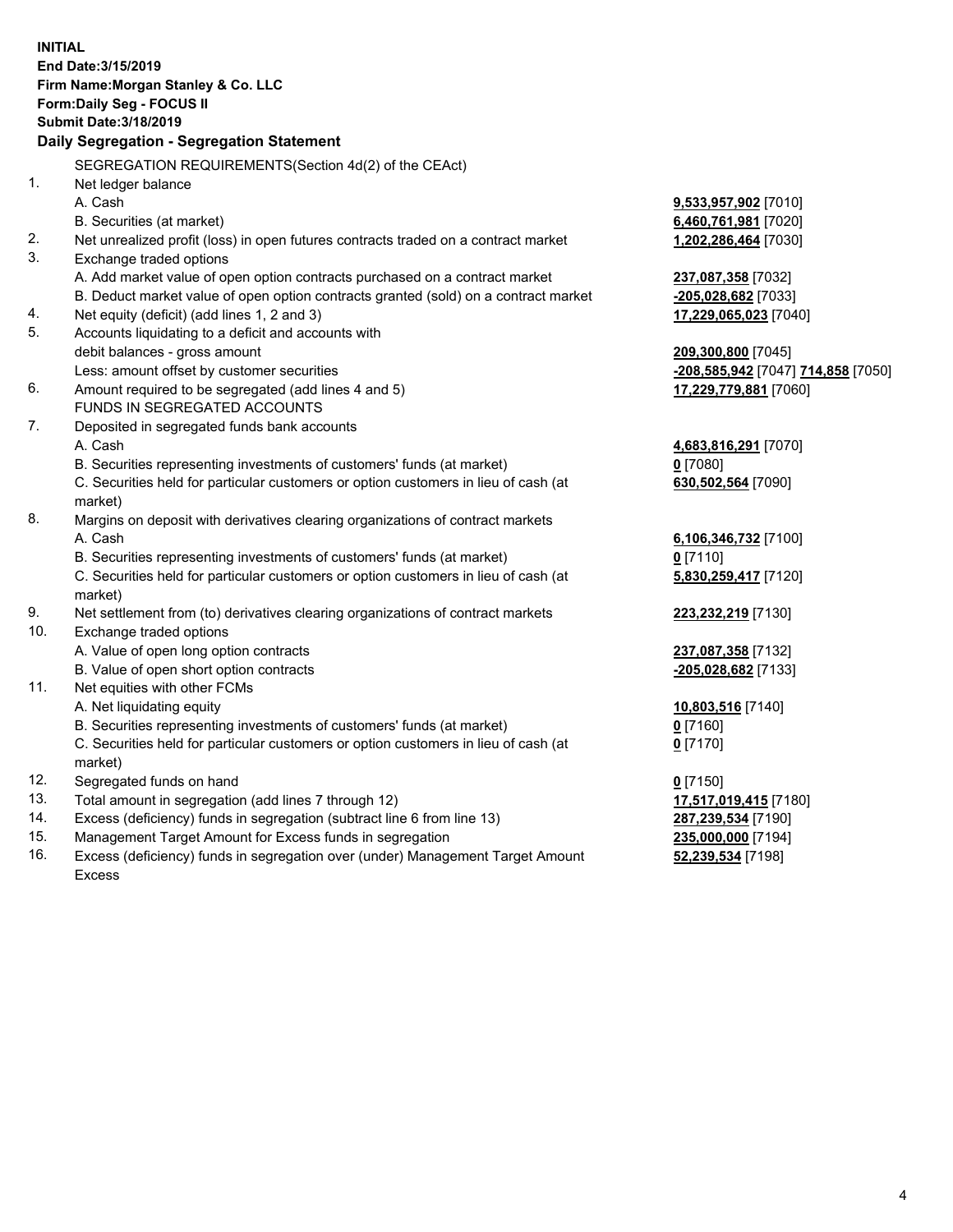**INITIAL End Date:3/15/2019 Firm Name:Morgan Stanley & Co. LLC Form:Daily Seg - FOCUS II Submit Date:3/18/2019 Daily Segregation - Segregation Statement** SEGREGATION REQUIREMENTS(Section 4d(2) of the CEAct) 1. Net ledger balance A. Cash **9,533,957,902** [7010] B. Securities (at market) **6,460,761,981** [7020] 2. Net unrealized profit (loss) in open futures contracts traded on a contract market **1,202,286,464** [7030] 3. Exchange traded options A. Add market value of open option contracts purchased on a contract market **237,087,358** [7032] B. Deduct market value of open option contracts granted (sold) on a contract market **-205,028,682** [7033] 4. Net equity (deficit) (add lines 1, 2 and 3) **17,229,065,023** [7040] 5. Accounts liquidating to a deficit and accounts with debit balances - gross amount **209,300,800** [7045] Less: amount offset by customer securities **-208,585,942** [7047] **714,858** [7050] 6. Amount required to be segregated (add lines 4 and 5) **17,229,779,881** [7060] FUNDS IN SEGREGATED ACCOUNTS 7. Deposited in segregated funds bank accounts A. Cash **4,683,816,291** [7070] B. Securities representing investments of customers' funds (at market) **0** [7080] C. Securities held for particular customers or option customers in lieu of cash (at market) **630,502,564** [7090] 8. Margins on deposit with derivatives clearing organizations of contract markets A. Cash **6,106,346,732** [7100] B. Securities representing investments of customers' funds (at market) **0** [7110] C. Securities held for particular customers or option customers in lieu of cash (at market) **5,830,259,417** [7120] 9. Net settlement from (to) derivatives clearing organizations of contract markets **223,232,219** [7130] 10. Exchange traded options A. Value of open long option contracts **237,087,358** [7132] B. Value of open short option contracts **-205,028,682** [7133] 11. Net equities with other FCMs A. Net liquidating equity **10,803,516** [7140] B. Securities representing investments of customers' funds (at market) **0** [7160] C. Securities held for particular customers or option customers in lieu of cash (at market) **0** [7170] 12. Segregated funds on hand **0** [7150] 13. Total amount in segregation (add lines 7 through 12) **17,517,019,415** [7180] 14. Excess (deficiency) funds in segregation (subtract line 6 from line 13) **287,239,534** [7190] 15. Management Target Amount for Excess funds in segregation **235,000,000** [7194]

16. Excess (deficiency) funds in segregation over (under) Management Target Amount Excess

**52,239,534** [7198]